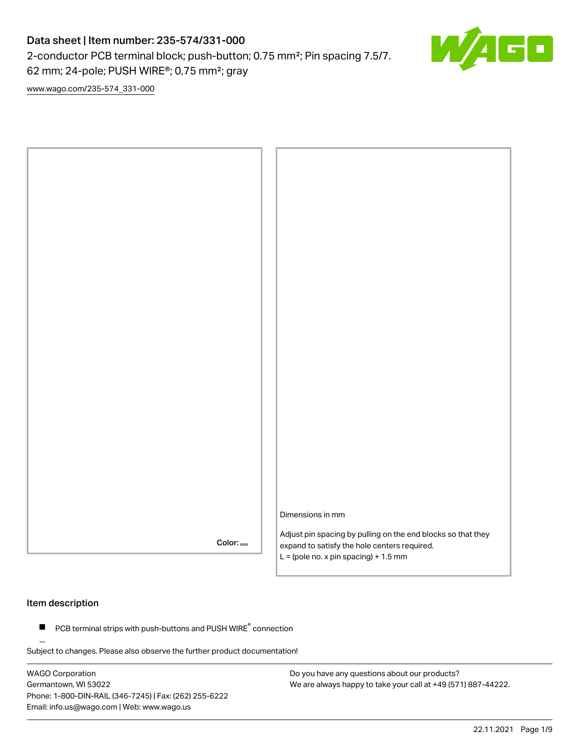2-conductor PCB terminal block; push-button; 0.75 mm²; Pin spacing 7.5/7.

62 mm; 24-pole; PUSH WIRE®; 0,75 mm²; gray

[www.wago.com/235-574\\_331-000](http://www.wago.com/235-574_331-000)



### Item description

 $\blacksquare$  PCB terminal strips with push-buttons and PUSH WIRE $\degree$  connection

Subject to changes. Please also observe the further product documentation!

WAGO Corporation Germantown, WI 53022 Phone: 1-800-DIN-RAIL (346-7245) | Fax: (262) 255-6222 Email: info.us@wago.com | Web: www.wago.us

Do you have any questions about our products? We are always happy to take your call at +49 (571) 887-44222. ┎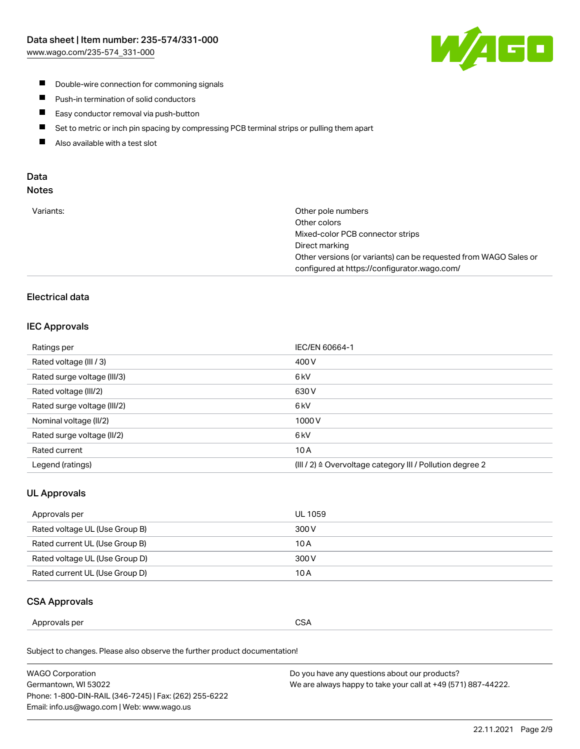

- **Double-wire connection for commoning signals**
- $\blacksquare$ Push-in termination of solid conductors
- Easy conductor removal via push-button  $\blacksquare$
- $\blacksquare$ Set to metric or inch pin spacing by compressing PCB terminal strips or pulling them apart
- $\blacksquare$ Also available with a test slot

### Data Notes

| Variants: | Other pole numbers                                               |
|-----------|------------------------------------------------------------------|
|           | Other colors                                                     |
|           | Mixed-color PCB connector strips                                 |
|           | Direct marking                                                   |
|           | Other versions (or variants) can be requested from WAGO Sales or |
|           | configured at https://configurator.wago.com/                     |
|           |                                                                  |

## Electrical data

#### IEC Approvals

| Ratings per                 | IEC/EN 60664-1                                                        |
|-----------------------------|-----------------------------------------------------------------------|
| Rated voltage (III / 3)     | 400 V                                                                 |
| Rated surge voltage (III/3) | 6 <sub>kV</sub>                                                       |
| Rated voltage (III/2)       | 630 V                                                                 |
| Rated surge voltage (III/2) | 6 kV                                                                  |
| Nominal voltage (II/2)      | 1000V                                                                 |
| Rated surge voltage (II/2)  | 6 <sub>kV</sub>                                                       |
| Rated current               | 10A                                                                   |
| Legend (ratings)            | $(III / 2)$ $\triangle$ Overvoltage category III / Pollution degree 2 |

## UL Approvals

| Approvals per                  | UL 1059 |
|--------------------------------|---------|
| Rated voltage UL (Use Group B) | 300 V   |
| Rated current UL (Use Group B) | 10 A    |
| Rated voltage UL (Use Group D) | 300 V   |
| Rated current UL (Use Group D) | 10 A    |

#### CSA Approvals

| per    |        |
|--------|--------|
| ovais: | $\sim$ |
| Annr   | SΔ     |
|        | vv.    |
|        | ___    |
|        |        |

Subject to changes. Please also observe the further product documentation!

| WAGO Corporation                                       | Do you have any questions about our products?                 |
|--------------------------------------------------------|---------------------------------------------------------------|
| Germantown, WI 53022                                   | We are always happy to take your call at +49 (571) 887-44222. |
| Phone: 1-800-DIN-RAIL (346-7245)   Fax: (262) 255-6222 |                                                               |
| Email: info.us@wago.com   Web: www.wago.us             |                                                               |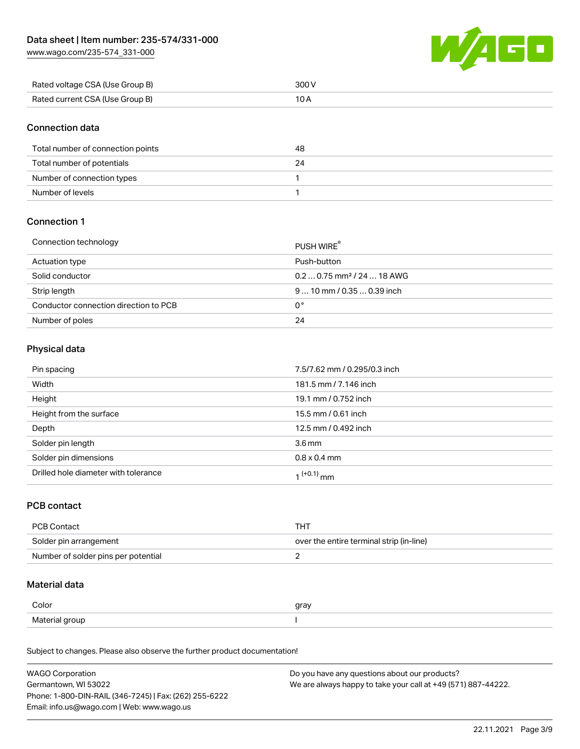[www.wago.com/235-574\\_331-000](http://www.wago.com/235-574_331-000)



| Rated voltage CSA (Use Group B) | 300 V |
|---------------------------------|-------|
| Rated current CSA (Use Group B) |       |

### Connection data

| Total number of connection points | 48 |
|-----------------------------------|----|
| Total number of potentials        |    |
| Number of connection types        |    |
| Number of levels                  |    |

### Connection 1

#### Connection technology PUSH WIRE®

|                                       | PUSH WIRE                              |
|---------------------------------------|----------------------------------------|
| Actuation type                        | Push-button                            |
| Solid conductor                       | $0.20.75$ mm <sup>2</sup> / 24  18 AWG |
| Strip length                          | $910$ mm $/0.350.39$ inch              |
| Conductor connection direction to PCB | 0°                                     |
| Number of poles                       | 24                                     |

## Physical data

| Pin spacing                          | 7.5/7.62 mm / 0.295/0.3 inch |
|--------------------------------------|------------------------------|
| Width                                | 181.5 mm / 7.146 inch        |
| Height                               | 19.1 mm / 0.752 inch         |
| Height from the surface              | 15.5 mm / 0.61 inch          |
| Depth                                | 12.5 mm / 0.492 inch         |
| Solder pin length                    | 3.6 <sub>mm</sub>            |
| Solder pin dimensions                | $0.8 \times 0.4$ mm          |
| Drilled hole diameter with tolerance | 1 <sup>(+0.1)</sup> mm       |

## PCB contact

| PCB Contact                         | THT                                      |
|-------------------------------------|------------------------------------------|
| Solder pin arrangement              | over the entire terminal strip (in-line) |
| Number of solder pins per potential |                                          |

### Material data

| Color                 | qrav |
|-----------------------|------|
| Material gro<br>arour |      |

Subject to changes. Please also observe the further product documentation!

| <b>WAGO Corporation</b>                                | Do you have any questions about our products?                 |
|--------------------------------------------------------|---------------------------------------------------------------|
| Germantown, WI 53022                                   | We are always happy to take your call at +49 (571) 887-44222. |
| Phone: 1-800-DIN-RAIL (346-7245)   Fax: (262) 255-6222 |                                                               |
| Email: info.us@wago.com   Web: www.wago.us             |                                                               |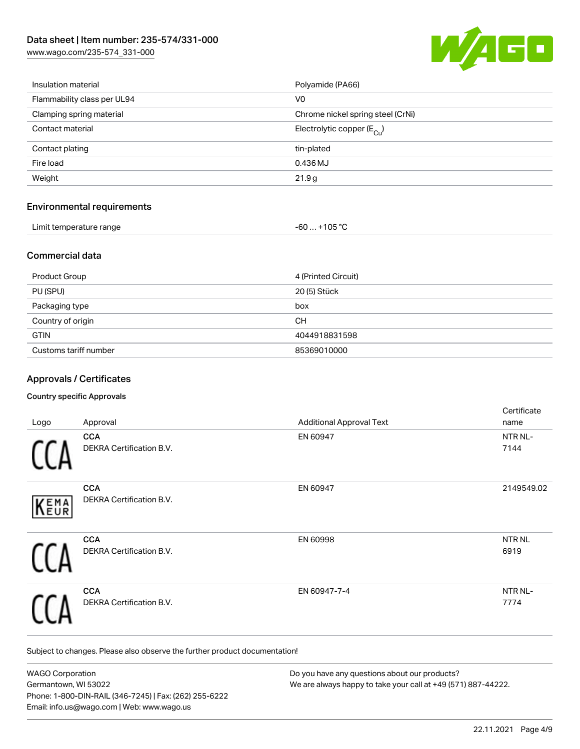[www.wago.com/235-574\\_331-000](http://www.wago.com/235-574_331-000)



| Insulation material               | Polyamide (PA66)                      |
|-----------------------------------|---------------------------------------|
| Flammability class per UL94       | V <sub>0</sub>                        |
| Clamping spring material          | Chrome nickel spring steel (CrNi)     |
| Contact material                  | Electrolytic copper $(E_{\text{Cl}})$ |
| Contact plating                   | tin-plated                            |
| Fire load                         | 0.436 MJ                              |
| Weight                            | 21.9g                                 |
| <b>Environmental requirements</b> |                                       |
| Limit temperature range           | $-60+105 °C$                          |
|                                   |                                       |

## Commercial data

| Product Group         | 4 (Printed Circuit) |
|-----------------------|---------------------|
| PU (SPU)              | 20 (5) Stück        |
| Packaging type        | box                 |
| Country of origin     | CН                  |
| <b>GTIN</b>           | 4044918831598       |
| Customs tariff number | 85369010000         |

### Approvals / Certificates

#### Country specific Approvals

| Logo        | Approval                                      | <b>Additional Approval Text</b> | Certificate<br>name       |
|-------------|-----------------------------------------------|---------------------------------|---------------------------|
|             | <b>CCA</b><br><b>DEKRA Certification B.V.</b> | EN 60947                        | NTR NL-<br>7144           |
| <b>KEMA</b> | <b>CCA</b><br>DEKRA Certification B.V.        | EN 60947                        | 2149549.02                |
|             | <b>CCA</b><br>DEKRA Certification B.V.        | EN 60998                        | NTR <sub>NL</sub><br>6919 |
|             | <b>CCA</b><br>DEKRA Certification B.V.        | EN 60947-7-4                    | NTR NL-<br>7774           |

Subject to changes. Please also observe the further product documentation!

| <b>WAGO Corporation</b>                                | Do you have any questions about our products?                 |
|--------------------------------------------------------|---------------------------------------------------------------|
| Germantown, WI 53022                                   | We are always happy to take your call at +49 (571) 887-44222. |
| Phone: 1-800-DIN-RAIL (346-7245)   Fax: (262) 255-6222 |                                                               |
| Email: info.us@wago.com   Web: www.wago.us             |                                                               |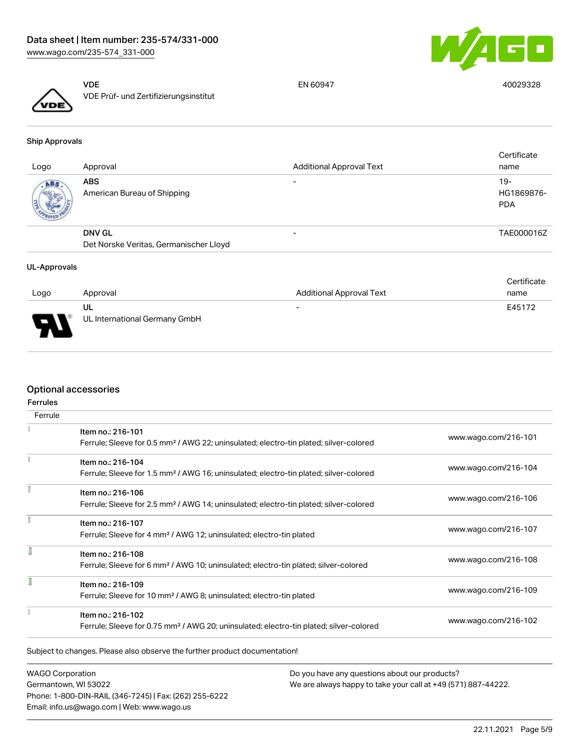



VDE VDE Prüf- und Zertifizierungsinstitut

EN 60947 40029328

Ship Approvals

| Logo | Approval                                  | <b>Additional Approval Text</b> | Certificate<br>name               |
|------|-------------------------------------------|---------------------------------|-----------------------------------|
| ABS  | <b>ABS</b><br>American Bureau of Shipping | $\overline{\phantom{0}}$        | $19-$<br>HG1869876-<br><b>PDA</b> |
|      | <b>DNV GL</b>                             | $\overline{\phantom{0}}$        | TAE000016Z                        |
|      | Det Norske Veritas, Germanischer Lloyd    |                                 |                                   |
|      |                                           |                                 |                                   |

#### UL-Approvals

|          |                               |                                 | Certificate |
|----------|-------------------------------|---------------------------------|-------------|
| Logo     | Approval                      | <b>Additional Approval Text</b> | name        |
|          | UL                            | $\overline{\phantom{0}}$        | E45172      |
| E<br>- 7 | UL International Germany GmbH |                                 |             |

### Optional accessories

| <b>Ferrules</b> |                                                                                                    |                      |
|-----------------|----------------------------------------------------------------------------------------------------|----------------------|
| Ferrule         |                                                                                                    |                      |
|                 | Item no.: 216-101                                                                                  |                      |
|                 | Ferrule; Sleeve for 0.5 mm <sup>2</sup> / AWG 22; uninsulated; electro-tin plated; silver-colored  | www.wago.com/216-101 |
|                 | Item no.: 216-104                                                                                  |                      |
|                 | Ferrule; Sleeve for 1.5 mm <sup>2</sup> / AWG 16; uninsulated; electro-tin plated; silver-colored  | www.wago.com/216-104 |
|                 | Item no.: 216-106                                                                                  |                      |
|                 | Ferrule; Sleeve for 2.5 mm <sup>2</sup> / AWG 14; uninsulated; electro-tin plated; silver-colored  | www.wago.com/216-106 |
|                 | Item no.: 216-107                                                                                  |                      |
|                 | Ferrule; Sleeve for 4 mm <sup>2</sup> / AWG 12; uninsulated; electro-tin plated                    | www.wago.com/216-107 |
| I               | Item no.: 216-108                                                                                  |                      |
|                 | Ferrule; Sleeve for 6 mm <sup>2</sup> / AWG 10; uninsulated; electro-tin plated; silver-colored    | www.wago.com/216-108 |
| ī               | Item no.: 216-109                                                                                  |                      |
|                 | Ferrule; Sleeve for 10 mm <sup>2</sup> / AWG 8; uninsulated; electro-tin plated                    | www.wago.com/216-109 |
|                 | Item no.: 216-102                                                                                  |                      |
|                 | Ferrule; Sleeve for 0.75 mm <sup>2</sup> / AWG 20; uninsulated; electro-tin plated; silver-colored | www.wago.com/216-102 |

WAGO Corporation Germantown, WI 53022 Phone: 1-800-DIN-RAIL (346-7245) | Fax: (262) 255-6222 Email: info.us@wago.com | Web: www.wago.us

Do you have any questions about our products? We are always happy to take your call at +49 (571) 887-44222.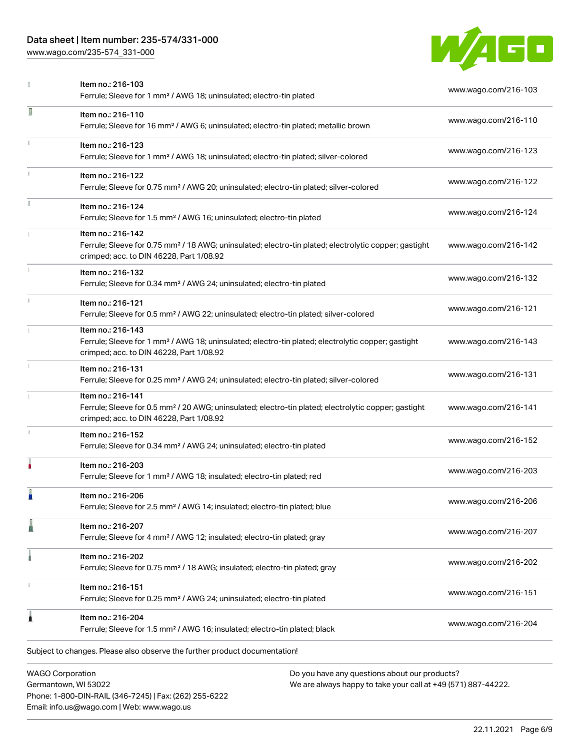Phone: 1-800-DIN-RAIL (346-7245) | Fax: (262) 255-6222

Email: info.us@wago.com | Web: www.wago.us

[www.wago.com/235-574\\_331-000](http://www.wago.com/235-574_331-000)



|    | Item no.: 216-103<br>Ferrule; Sleeve for 1 mm <sup>2</sup> / AWG 18; uninsulated; electro-tin plated                                                                               |                                                                                                                | www.wago.com/216-103 |
|----|------------------------------------------------------------------------------------------------------------------------------------------------------------------------------------|----------------------------------------------------------------------------------------------------------------|----------------------|
| Π  | Item no.: 216-110<br>Ferrule; Sleeve for 16 mm <sup>2</sup> / AWG 6; uninsulated; electro-tin plated; metallic brown                                                               |                                                                                                                | www.wago.com/216-110 |
|    | Item no.: 216-123<br>Ferrule; Sleeve for 1 mm <sup>2</sup> / AWG 18; uninsulated; electro-tin plated; silver-colored                                                               |                                                                                                                | www.wago.com/216-123 |
| i. | Item no.: 216-122<br>Ferrule; Sleeve for 0.75 mm <sup>2</sup> / AWG 20; uninsulated; electro-tin plated; silver-colored                                                            |                                                                                                                | www.wago.com/216-122 |
|    | Item no.: 216-124<br>Ferrule; Sleeve for 1.5 mm <sup>2</sup> / AWG 16; uninsulated; electro-tin plated                                                                             |                                                                                                                | www.wago.com/216-124 |
|    | Item no.: 216-142<br>Ferrule; Sleeve for 0.75 mm <sup>2</sup> / 18 AWG; uninsulated; electro-tin plated; electrolytic copper; gastight<br>crimped; acc. to DIN 46228, Part 1/08.92 |                                                                                                                | www.wago.com/216-142 |
|    | Item no.: 216-132<br>Ferrule; Sleeve for 0.34 mm <sup>2</sup> / AWG 24; uninsulated; electro-tin plated                                                                            |                                                                                                                | www.wago.com/216-132 |
|    | Item no.: 216-121<br>Ferrule; Sleeve for 0.5 mm <sup>2</sup> / AWG 22; uninsulated; electro-tin plated; silver-colored                                                             |                                                                                                                | www.wago.com/216-121 |
|    | Item no.: 216-143<br>Ferrule; Sleeve for 1 mm <sup>2</sup> / AWG 18; uninsulated; electro-tin plated; electrolytic copper; gastight<br>crimped; acc. to DIN 46228, Part 1/08.92    |                                                                                                                | www.wago.com/216-143 |
| I. | Item no.: 216-131<br>Ferrule; Sleeve for 0.25 mm <sup>2</sup> / AWG 24; uninsulated; electro-tin plated; silver-colored                                                            |                                                                                                                | www.wago.com/216-131 |
|    | Item no.: 216-141<br>Ferrule; Sleeve for 0.5 mm <sup>2</sup> / 20 AWG; uninsulated; electro-tin plated; electrolytic copper; gastight<br>crimped; acc. to DIN 46228, Part 1/08.92  |                                                                                                                | www.wago.com/216-141 |
|    | Item no.: 216-152<br>Ferrule; Sleeve for 0.34 mm <sup>2</sup> / AWG 24; uninsulated; electro-tin plated                                                                            |                                                                                                                | www.wago.com/216-152 |
|    | Item no.: 216-203<br>Ferrule; Sleeve for 1 mm <sup>2</sup> / AWG 18; insulated; electro-tin plated; red                                                                            |                                                                                                                | www.wago.com/216-203 |
|    | Item no.: 216-206<br>Ferrule; Sleeve for 2.5 mm <sup>2</sup> / AWG 14; insulated; electro-tin plated; blue                                                                         |                                                                                                                | www.wago.com/216-206 |
|    | Item no.: 216-207<br>Ferrule; Sleeve for 4 mm <sup>2</sup> / AWG 12; insulated; electro-tin plated; gray                                                                           |                                                                                                                | www.wago.com/216-207 |
|    | Item no.: 216-202<br>Ferrule; Sleeve for 0.75 mm <sup>2</sup> / 18 AWG; insulated; electro-tin plated; gray                                                                        |                                                                                                                | www.wago.com/216-202 |
|    | Item no.: 216-151<br>Ferrule; Sleeve for 0.25 mm <sup>2</sup> / AWG 24; uninsulated; electro-tin plated                                                                            |                                                                                                                | www.wago.com/216-151 |
|    | Item no.: 216-204<br>Ferrule; Sleeve for 1.5 mm <sup>2</sup> / AWG 16; insulated; electro-tin plated; black                                                                        |                                                                                                                | www.wago.com/216-204 |
|    | Subject to changes. Please also observe the further product documentation!                                                                                                         |                                                                                                                |                      |
|    | <b>WAGO Corporation</b><br>Germantown, WI 53022                                                                                                                                    | Do you have any questions about our products?<br>We are always happy to take your call at +49 (571) 887-44222. |                      |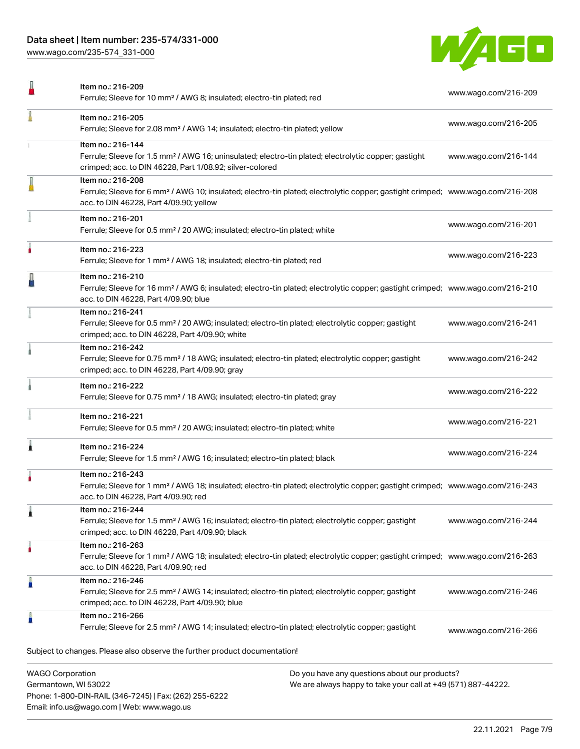Phone: 1-800-DIN-RAIL (346-7245) | Fax: (262) 255-6222

Email: info.us@wago.com | Web: www.wago.us

[www.wago.com/235-574\\_331-000](http://www.wago.com/235-574_331-000)



|                         | Item no.: 216-209<br>Ferrule; Sleeve for 10 mm <sup>2</sup> / AWG 8; insulated; electro-tin plated; red                                                                                                    |                                                                                                                | www.wago.com/216-209 |
|-------------------------|------------------------------------------------------------------------------------------------------------------------------------------------------------------------------------------------------------|----------------------------------------------------------------------------------------------------------------|----------------------|
|                         | Item no.: 216-205<br>Ferrule; Sleeve for 2.08 mm <sup>2</sup> / AWG 14; insulated; electro-tin plated; yellow                                                                                              |                                                                                                                | www.wago.com/216-205 |
|                         | Item no.: 216-144<br>Ferrule; Sleeve for 1.5 mm <sup>2</sup> / AWG 16; uninsulated; electro-tin plated; electrolytic copper; gastight<br>crimped; acc. to DIN 46228, Part 1/08.92; silver-colored          |                                                                                                                | www.wago.com/216-144 |
|                         | Item no.: 216-208<br>Ferrule; Sleeve for 6 mm <sup>2</sup> / AWG 10; insulated; electro-tin plated; electrolytic copper; gastight crimped; www.wago.com/216-208<br>acc. to DIN 46228, Part 4/09.90; yellow |                                                                                                                |                      |
|                         | Item no.: 216-201<br>Ferrule; Sleeve for 0.5 mm <sup>2</sup> / 20 AWG; insulated; electro-tin plated; white                                                                                                |                                                                                                                | www.wago.com/216-201 |
|                         | Item no.: 216-223<br>Ferrule; Sleeve for 1 mm <sup>2</sup> / AWG 18; insulated; electro-tin plated; red                                                                                                    |                                                                                                                | www.wago.com/216-223 |
|                         | Item no.: 216-210<br>Ferrule; Sleeve for 16 mm <sup>2</sup> / AWG 6; insulated; electro-tin plated; electrolytic copper; gastight crimped; www.wago.com/216-210<br>acc. to DIN 46228, Part 4/09.90; blue   |                                                                                                                |                      |
|                         | Item no.: 216-241<br>Ferrule; Sleeve for 0.5 mm <sup>2</sup> / 20 AWG; insulated; electro-tin plated; electrolytic copper; gastight<br>crimped; acc. to DIN 46228, Part 4/09.90; white                     |                                                                                                                | www.wago.com/216-241 |
|                         | Item no.: 216-242<br>Ferrule; Sleeve for 0.75 mm <sup>2</sup> / 18 AWG; insulated; electro-tin plated; electrolytic copper; gastight<br>crimped; acc. to DIN 46228, Part 4/09.90; gray                     |                                                                                                                | www.wago.com/216-242 |
|                         | Item no.: 216-222<br>Ferrule; Sleeve for 0.75 mm <sup>2</sup> / 18 AWG; insulated; electro-tin plated; gray                                                                                                |                                                                                                                | www.wago.com/216-222 |
|                         | Item no.: 216-221<br>Ferrule; Sleeve for 0.5 mm <sup>2</sup> / 20 AWG; insulated; electro-tin plated; white                                                                                                |                                                                                                                | www.wago.com/216-221 |
|                         | Item no.: 216-224<br>Ferrule; Sleeve for 1.5 mm <sup>2</sup> / AWG 16; insulated; electro-tin plated; black                                                                                                |                                                                                                                | www.wago.com/216-224 |
|                         | Item no.: 216-243<br>Ferrule; Sleeve for 1 mm <sup>2</sup> / AWG 18; insulated; electro-tin plated; electrolytic copper; gastight crimped; www.wago.com/216-243<br>acc. to DIN 46228, Part 4/09.90; red    |                                                                                                                |                      |
|                         | Item no.: 216-244<br>Ferrule; Sleeve for 1.5 mm <sup>2</sup> / AWG 16; insulated; electro-tin plated; electrolytic copper; gastight<br>crimped; acc. to DIN 46228, Part 4/09.90; black                     |                                                                                                                | www.wago.com/216-244 |
| ٠                       | Item no.: 216-263<br>Ferrule; Sleeve for 1 mm <sup>2</sup> / AWG 18; insulated; electro-tin plated; electrolytic copper; gastight crimped; www.wago.com/216-263<br>acc. to DIN 46228, Part 4/09.90; red    |                                                                                                                |                      |
|                         | Item no.: 216-246<br>Ferrule; Sleeve for 2.5 mm <sup>2</sup> / AWG 14; insulated; electro-tin plated; electrolytic copper; gastight<br>crimped; acc. to DIN 46228, Part 4/09.90; blue                      |                                                                                                                | www.wago.com/216-246 |
| Å                       | Item no.: 216-266<br>Ferrule; Sleeve for 2.5 mm <sup>2</sup> / AWG 14; insulated; electro-tin plated; electrolytic copper; gastight                                                                        |                                                                                                                | www.wago.com/216-266 |
|                         | Subject to changes. Please also observe the further product documentation!                                                                                                                                 |                                                                                                                |                      |
| <b>WAGO Corporation</b> | Germantown, WI 53022                                                                                                                                                                                       | Do you have any questions about our products?<br>We are always happy to take your call at +49 (571) 887-44222. |                      |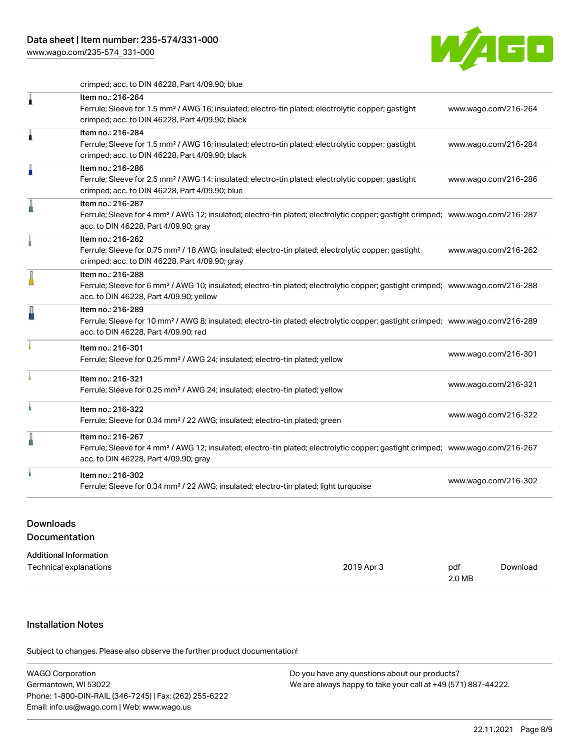[www.wago.com/235-574\\_331-000](http://www.wago.com/235-574_331-000)



crimped; acc. to DIN 46228, Part 4/09.90; blue

| 1 | Item no.: 216-264<br>Ferrule; Sleeve for 1.5 mm <sup>2</sup> / AWG 16; insulated; electro-tin plated; electrolytic copper; gastight<br>crimped; acc. to DIN 46228, Part 4/09.90; black                     | www.wago.com/216-264 |
|---|------------------------------------------------------------------------------------------------------------------------------------------------------------------------------------------------------------|----------------------|
| Â | Item no.: 216-284<br>Ferrule; Sleeve for 1.5 mm <sup>2</sup> / AWG 16; insulated; electro-tin plated; electrolytic copper; gastight<br>crimped; acc. to DIN 46228, Part 4/09.90; black                     | www.wago.com/216-284 |
| A | Item no.: 216-286<br>Ferrule; Sleeve for 2.5 mm <sup>2</sup> / AWG 14; insulated; electro-tin plated; electrolytic copper; gastight<br>crimped; acc. to DIN 46228, Part 4/09.90; blue                      | www.wago.com/216-286 |
|   | Item no.: 216-287<br>Ferrule; Sleeve for 4 mm <sup>2</sup> / AWG 12; insulated; electro-tin plated; electrolytic copper; gastight crimped; www.wago.com/216-287<br>acc. to DIN 46228, Part 4/09.90; gray   |                      |
|   | Item no.: 216-262<br>Ferrule; Sleeve for 0.75 mm <sup>2</sup> / 18 AWG; insulated; electro-tin plated; electrolytic copper; gastight<br>crimped; acc. to DIN 46228, Part 4/09.90; gray                     | www.wago.com/216-262 |
|   | Item no.: 216-288<br>Ferrule; Sleeve for 6 mm <sup>2</sup> / AWG 10; insulated; electro-tin plated; electrolytic copper; gastight crimped; www.wago.com/216-288<br>acc. to DIN 46228, Part 4/09.90; yellow |                      |
|   | Item no.: 216-289<br>Ferrule; Sleeve for 10 mm <sup>2</sup> / AWG 8; insulated; electro-tin plated; electrolytic copper; gastight crimped; www.wago.com/216-289<br>acc. to DIN 46228, Part 4/09.90; red    |                      |
|   | Item no.: 216-301<br>Ferrule; Sleeve for 0.25 mm <sup>2</sup> / AWG 24; insulated; electro-tin plated; yellow                                                                                              | www.wago.com/216-301 |
|   | Item no.: 216-321<br>Ferrule; Sleeve for 0.25 mm <sup>2</sup> / AWG 24; insulated; electro-tin plated; yellow                                                                                              | www.wago.com/216-321 |
|   | Item no.: 216-322<br>Ferrule; Sleeve for 0.34 mm <sup>2</sup> / 22 AWG; insulated; electro-tin plated; green                                                                                               | www.wago.com/216-322 |
|   | Item no.: 216-267<br>Ferrule; Sleeve for 4 mm <sup>2</sup> / AWG 12; insulated; electro-tin plated; electrolytic copper; gastight crimped; www.wago.com/216-267<br>acc. to DIN 46228, Part 4/09.90; gray   |                      |
|   | Item no.: 216-302<br>Ferrule; Sleeve for 0.34 mm <sup>2</sup> / 22 AWG; insulated; electro-tin plated; light turquoise                                                                                     | www.wago.com/216-302 |

## Downloads Documentation

| <b>Additional Information</b> |            |        |          |
|-------------------------------|------------|--------|----------|
| Technical explanations        | 2019 Apr 3 | pdf    | Download |
|                               |            | 2.0 MB |          |

## Installation Notes

.<br>Subject to changes. Please also observe the further product documentation!

| <b>WAGO Corporation</b>                                | Do you have any questions about our products?                 |
|--------------------------------------------------------|---------------------------------------------------------------|
| Germantown, WI 53022                                   | We are always happy to take your call at +49 (571) 887-44222. |
| Phone: 1-800-DIN-RAIL (346-7245)   Fax: (262) 255-6222 |                                                               |
| Email: info.us@wago.com   Web: www.wago.us             |                                                               |